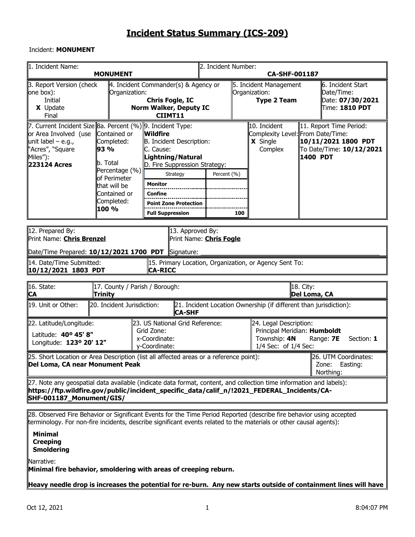#### Incident: **MONUMENT**

| 1. Incident Name:                                                                                                                                                                                                                                            | <b>MONUMENT</b>                                                                                                                                                                                             |                                                                                                                                                                                                                    | 2. Incident Number: | <b>CA-SHF-001187</b> |                                                                                                |                           |                                                                                        |  |  |  |  |
|--------------------------------------------------------------------------------------------------------------------------------------------------------------------------------------------------------------------------------------------------------------|-------------------------------------------------------------------------------------------------------------------------------------------------------------------------------------------------------------|--------------------------------------------------------------------------------------------------------------------------------------------------------------------------------------------------------------------|---------------------|----------------------|------------------------------------------------------------------------------------------------|---------------------------|----------------------------------------------------------------------------------------|--|--|--|--|
| 3. Report Version (check<br>one box):<br>Initial<br>X Update<br>Final                                                                                                                                                                                        | Organization:                                                                                                                                                                                               | $\parallel$ 4. Incident Commander(s) & Agency or<br><b>Chris Fogle, IC</b><br><b>Norm Walker, Deputy IC</b><br>CIIMT11                                                                                             |                     |                      | 5. Incident Management<br>Organization:<br><b>Type 2 Team</b>                                  |                           | 6. Incident Start<br>Date/Time:<br>Date: 07/30/2021<br>Time: 1810 PDT                  |  |  |  |  |
| 7. Current Incident Size 8a. Percent (%) 9. Incident Type:<br>or Area Involved (use<br>unit label – e.g.,<br>"Acres", "Square<br>Miles"):<br>223124 Acres                                                                                                    | Contained or<br>Completed:<br>93 %<br>b. Total<br>Percentage (%)<br>of Perimeter<br>that will be<br>Contained or<br>Completed:<br>100 %                                                                     | Wildfire<br>B. Incident Description:<br>C. Cause:<br>Lightning/Natural<br>D. Fire Suppression Strategy:<br>Strategy<br><b>Monitor</b><br><b>Confine</b><br><b>Point Zone Protection</b><br><b>Full Suppression</b> | Percent (%)         | 100                  | 10. Incident<br>Complexity Level: From Date/Time:<br><b>X</b> Single<br>Complex                |                           | 11. Report Time Period:<br>10/11/2021 1800 PDT<br>To Date/Time: 10/12/2021<br>1400 PDT |  |  |  |  |
| 12. Prepared By:<br>14. Date/Time Submitted:                                                                                                                                                                                                                 | 13. Approved By:<br>Print Name: <b>Chris Brenzel</b><br>Print Name: <b>Chris Fogle</b><br>Date/Time Prepared: $10/12/2021$ 1700 PDT<br>Signature:<br>15. Primary Location, Organization, or Agency Sent To: |                                                                                                                                                                                                                    |                     |                      |                                                                                                |                           |                                                                                        |  |  |  |  |
| 10/12/2021 1803 PDT                                                                                                                                                                                                                                          |                                                                                                                                                                                                             | <b>CA-RICC</b>                                                                                                                                                                                                     |                     |                      |                                                                                                |                           |                                                                                        |  |  |  |  |
| 16. State:<br><b>CA</b>                                                                                                                                                                                                                                      | 17. County / Parish / Borough:<br>Trinity                                                                                                                                                                   |                                                                                                                                                                                                                    |                     |                      |                                                                                                | 18. City:<br>Del Loma, CA |                                                                                        |  |  |  |  |
| 19. Unit or Other:                                                                                                                                                                                                                                           | 20. Incident Jurisdiction:                                                                                                                                                                                  | <b>CA-SHF</b>                                                                                                                                                                                                      |                     |                      | 21. Incident Location Ownership (if different than jurisdiction):                              |                           |                                                                                        |  |  |  |  |
| 22. Latitude/Longitude:<br>Latitude: 40° 45' 8"<br>Longitude: 123º 20' 12"                                                                                                                                                                                   |                                                                                                                                                                                                             | 23. US National Grid Reference:<br>Grid Zone:<br>x-Coordinate:<br>y-Coordinate:                                                                                                                                    |                     |                      | 24. Legal Description:<br>Principal Meridian: Humboldt<br>Township: 4N<br>1/4 Sec: of 1/4 Sec: |                           | Range: 7E<br>Section: 1                                                                |  |  |  |  |
| $ 25$ . Short Location or Area Description (list all affected areas or a reference point):<br>26. UTM Coordinates:<br>Del Loma, CA near Monument Peak<br>Zone: Easting:<br>Northing:                                                                         |                                                                                                                                                                                                             |                                                                                                                                                                                                                    |                     |                      |                                                                                                |                           |                                                                                        |  |  |  |  |
| [27. Note any geospatial data available (indicate data format, content, and collection time information and labels):<br>https://ftp.wildfire.gov/public/incident_specific_data/calif_n/!2021_FEDERAL_Incidents/CA-<br>SHF-001187_Monument/GIS/               |                                                                                                                                                                                                             |                                                                                                                                                                                                                    |                     |                      |                                                                                                |                           |                                                                                        |  |  |  |  |
| 28. Observed Fire Behavior or Significant Events for the Time Period Reported (describe fire behavior using accepted<br>terminology. For non-fire incidents, describe significant events related to the materials or other causal agents):<br><b>Minimal</b> |                                                                                                                                                                                                             |                                                                                                                                                                                                                    |                     |                      |                                                                                                |                           |                                                                                        |  |  |  |  |

**Creeping Smoldering**

Narrative:

**Minimal fire behavior, smoldering with areas of creeping reburn.** 

**Heavy needle drop is increases the potential for re-burn. Any new starts outside of containment lines will have**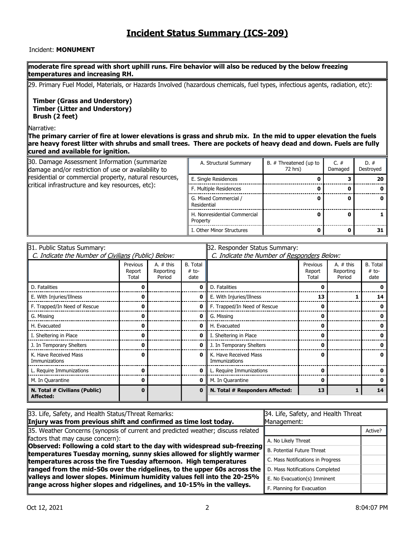#### Incident: **MONUMENT**

#### **moderate fire spread with short uphill runs. Fire behavior will also be reduced by the below freezing temperatures and increasing RH.**

29. Primary Fuel Model, Materials, or Hazards Involved (hazardous chemicals, fuel types, infectious agents, radiation, etc):

**Timber (Grass and Understory) Timber (Litter and Understory) Brush (2 feet)**

#### Narrative:

**The primary carrier of fire at lower elevations is grass and shrub mix. In the mid to upper elevation the fuels are heavy forest litter with shrubs and small trees. There are pockets of heavy dead and down. Fuels are fully cured and available for ignition.**

| 30. Damage Assessment Information (summarize<br>damage and/or restriction of use or availability to | A. Structural Summary                    | B. # Threatened (up to<br>72 hrs) | C. $#$<br>Damaged | $D.$ #<br>Destroyed |
|-----------------------------------------------------------------------------------------------------|------------------------------------------|-----------------------------------|-------------------|---------------------|
| residential or commercial property, natural resources,                                              | E. Single Residences                     |                                   |                   | 20                  |
| critical infrastructure and key resources, etc):                                                    | F. Multiple Residences                   |                                   |                   |                     |
|                                                                                                     | G. Mixed Commercial /<br>Residential     |                                   |                   |                     |
|                                                                                                     | H. Nonresidential Commercial<br>Property |                                   |                   |                     |
|                                                                                                     | I. Other Minor Structures                |                                   |                   |                     |

| 31. Public Status Summary:                          |                             |                                    | 32. Responder Status Summary:               |                                        |                             |                                    |                                    |  |  |
|-----------------------------------------------------|-----------------------------|------------------------------------|---------------------------------------------|----------------------------------------|-----------------------------|------------------------------------|------------------------------------|--|--|
| C. Indicate the Number of Civilians (Public) Below: |                             |                                    | C. Indicate the Number of Responders Below: |                                        |                             |                                    |                                    |  |  |
|                                                     | Previous<br>Report<br>Total | A. $#$ this<br>Reporting<br>Period | <b>B.</b> Total<br>$# to-$<br>date          |                                        | Previous<br>Report<br>Total | A. $#$ this<br>Reporting<br>Period | <b>B.</b> Total<br>$# to-$<br>date |  |  |
| D. Fatalities                                       | n                           |                                    | 0                                           | D. Fatalities                          | Ω                           |                                    |                                    |  |  |
| E. With Injuries/Illness                            |                             |                                    | 0                                           | E. With Injuries/Illness               | 13                          |                                    | 14                                 |  |  |
| F. Trapped/In Need of Rescue                        | 0                           |                                    | 0                                           | F. Trapped/In Need of Rescue           | 0                           |                                    |                                    |  |  |
| G. Missing                                          | 0                           |                                    | 0                                           | G. Missing                             | 0                           |                                    |                                    |  |  |
| H. Evacuated                                        | n                           |                                    | 0                                           | H. Evacuated                           | ŋ                           |                                    |                                    |  |  |
| I. Sheltering in Place                              | 0                           |                                    | 0                                           | I. Sheltering in Place                 |                             |                                    |                                    |  |  |
| J. In Temporary Shelters                            | 0                           |                                    | 0                                           | J. In Temporary Shelters               | ŋ                           |                                    |                                    |  |  |
| K. Have Received Mass<br>Immunizations              | 0                           |                                    | 0                                           | K. Have Received Mass<br>Immunizations | Ω                           |                                    |                                    |  |  |
| L. Require Immunizations                            | 0                           |                                    | 0                                           | L. Require Immunizations               | U                           |                                    |                                    |  |  |
| M. In Quarantine                                    | 0                           |                                    | 0                                           | M. In Quarantine                       | 0                           |                                    |                                    |  |  |
| N. Total # Civilians (Public)<br>Affected:          | 0                           |                                    | $\bf{0}$                                    | N. Total # Responders Affected:        | 13                          |                                    | 14                                 |  |  |

| 33. Life, Safety, and Health Status/Threat Remarks:                                                                                                                                              | 34. Life, Safety, and Health Threat |         |  |  |  |
|--------------------------------------------------------------------------------------------------------------------------------------------------------------------------------------------------|-------------------------------------|---------|--|--|--|
| Injury was from previous shift and confirmed as time lost today.                                                                                                                                 | Management:                         |         |  |  |  |
| 35. Weather Concerns (synopsis of current and predicted weather; discuss related                                                                                                                 |                                     | Active? |  |  |  |
| factors that may cause concern):                                                                                                                                                                 | A. No Likely Threat                 |         |  |  |  |
| <b>Discreted: Following a cold start to the day with widespread sub-freezing</b> $\mathsf{B}$ . Potential Future Threat<br>temperatures Tuesday morning, sunny skies allowed for slightly warmer |                                     |         |  |  |  |
| temperatures across the fire Tuesday afternoon. High temperatures                                                                                                                                | C. Mass Notifications in Progress   |         |  |  |  |
| ranged from the mid-50s over the ridgelines, to the upper 60s across the                                                                                                                         | D. Mass Notifications Completed     |         |  |  |  |
| valleys and lower slopes. Minimum humidity values fell into the 20-25%                                                                                                                           | E. No Evacuation(s) Imminent        |         |  |  |  |
| range across higher slopes and ridgelines, and 10-15% in the valleys.                                                                                                                            | F. Planning for Evacuation          |         |  |  |  |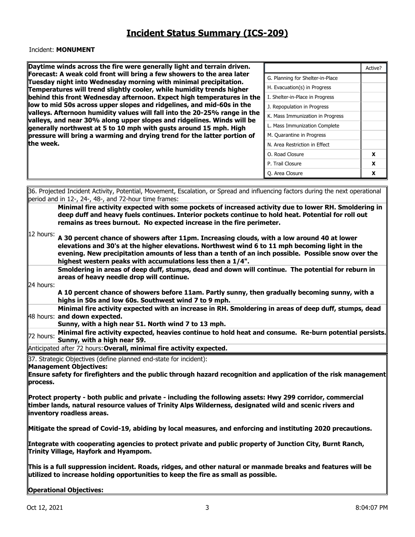#### Incident: **MONUMENT**

| Daytime winds across the fire were generally light and terrain driven.                                                                              |                                  | Active? |
|-----------------------------------------------------------------------------------------------------------------------------------------------------|----------------------------------|---------|
| Forecast: A weak cold front will bring a few showers to the area later<br>Tuesday night into Wednesday morning with minimal precipitation.          | G. Planning for Shelter-in-Place |         |
| Temperatures will trend slightly cooler, while humidity trends higher                                                                               | H. Evacuation(s) in Progress     |         |
| behind this front Wednesday afternoon. Expect high temperatures in the                                                                              | I. Shelter-in-Place in Progress  |         |
| low to mid 50s across upper slopes and ridgelines, and mid-60s in the                                                                               | J. Repopulation in Progress      |         |
| valleys. Afternoon humidity values will fall into the 20-25% range in the<br>valleys, and near 30% along upper slopes and ridgelines. Winds will be | K. Mass Immunization in Progress |         |
| generally northwest at 5 to 10 mph with gusts around 15 mph. High                                                                                   | L. Mass Immunization Complete    |         |
| pressure will bring a warming and drying trend for the latter portion of                                                                            | M. Quarantine in Progress        |         |
| the week.                                                                                                                                           | N. Area Restriction in Effect    |         |
|                                                                                                                                                     | O. Road Closure                  | X       |
|                                                                                                                                                     | P. Trail Closure                 | X       |
|                                                                                                                                                     | O. Area Closure                  | X       |

| period and in 12-, 24-, 48-, and 72-hour time frames:<br>Minimal fire activity expected with some pockets of increased activity due to lower RH. Smoldering in<br>deep duff and heavy fuels continues. Interior pockets continue to hold heat. Potential for roll out<br>remains as trees burnout. No expected increase in the fire perimeter.<br>12 hours:<br>A 30 percent chance of showers after 11pm. Increasing clouds, with a low around 40 at lower<br>elevations and 30's at the higher elevations. Northwest wind 6 to 11 mph becoming light in the |
|--------------------------------------------------------------------------------------------------------------------------------------------------------------------------------------------------------------------------------------------------------------------------------------------------------------------------------------------------------------------------------------------------------------------------------------------------------------------------------------------------------------------------------------------------------------|
|                                                                                                                                                                                                                                                                                                                                                                                                                                                                                                                                                              |
|                                                                                                                                                                                                                                                                                                                                                                                                                                                                                                                                                              |
|                                                                                                                                                                                                                                                                                                                                                                                                                                                                                                                                                              |
| evening. New precipitation amounts of less than a tenth of an inch possible. Possible snow over the<br>highest western peaks with accumulations less then a 1/4".                                                                                                                                                                                                                                                                                                                                                                                            |
| Smoldering in areas of deep duff, stumps, dead and down will continue. The potential for reburn in<br>areas of heavy needle drop will continue.                                                                                                                                                                                                                                                                                                                                                                                                              |
| 24 hours:<br>A 10 percent chance of showers before 11am. Partly sunny, then gradually becoming sunny, with a<br>highs in 50s and low 60s. Southwest wind 7 to 9 mph.                                                                                                                                                                                                                                                                                                                                                                                         |
| Minimal fire activity expected with an increase in RH. Smoldering in areas of deep duff, stumps, dead<br>48 hours: and down expected.                                                                                                                                                                                                                                                                                                                                                                                                                        |
| Sunny, with a high near 51. North wind 7 to 13 mph.                                                                                                                                                                                                                                                                                                                                                                                                                                                                                                          |
| Minimal fire activity expected, heavies continue to hold heat and consume. Re-burn potential persists.<br>72 hours:<br>Sunny, with a high near 59.                                                                                                                                                                                                                                                                                                                                                                                                           |
| Anticipated after 72 hours: Overall, minimal fire activity expected.                                                                                                                                                                                                                                                                                                                                                                                                                                                                                         |
| 37. Strategic Objectives (define planned end-state for incident):<br><b>Management Objectives:</b><br>Ensure safety for firefighters and the public through hazard recognition and application of the risk management<br>process.                                                                                                                                                                                                                                                                                                                            |
| Protect property - both public and private - including the following assets: Hwy 299 corridor, commercial<br>timber lands, natural resource values of Trinity Alps Wilderness, designated wild and scenic rivers and<br>inventory roadless areas.                                                                                                                                                                                                                                                                                                            |
| Mitigate the spread of Covid-19, abiding by local measures, and enforcing and instituting 2020 precautions.                                                                                                                                                                                                                                                                                                                                                                                                                                                  |
| Integrate with cooperating agencies to protect private and public property of Junction City, Burnt Ranch,<br>Trinity Village, Hayfork and Hyampom.                                                                                                                                                                                                                                                                                                                                                                                                           |
|                                                                                                                                                                                                                                                                                                                                                                                                                                                                                                                                                              |
| This is a full suppression incident. Roads, ridges, and other natural or manmade breaks and features will be<br>utilized to increase holding opportunities to keep the fire as small as possible.                                                                                                                                                                                                                                                                                                                                                            |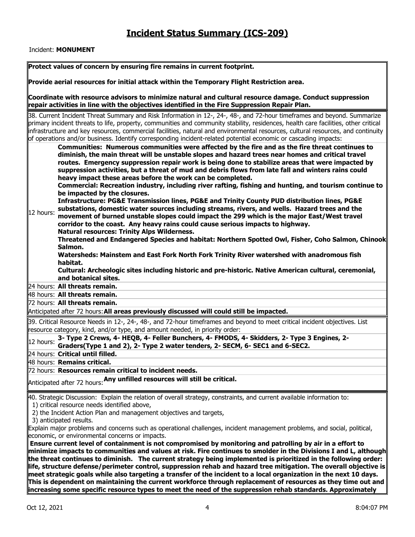#### Incident: **MONUMENT**

| Protect values of concern by ensuring fire remains in current footprint.                                                                                                                                                                                                                                                                                                                                                                                                                                                                                                                |
|-----------------------------------------------------------------------------------------------------------------------------------------------------------------------------------------------------------------------------------------------------------------------------------------------------------------------------------------------------------------------------------------------------------------------------------------------------------------------------------------------------------------------------------------------------------------------------------------|
| Provide aerial resources for initial attack within the Temporary Flight Restriction area.                                                                                                                                                                                                                                                                                                                                                                                                                                                                                               |
| Coordinate with resource advisors to minimize natural and cultural resource damage. Conduct suppression<br>repair activities in line with the objectives identified in the Fire Suppression Repair Plan.                                                                                                                                                                                                                                                                                                                                                                                |
| 38. Current Incident Threat Summary and Risk Information in 12-, 24-, 48-, and 72-hour timeframes and beyond. Summarize<br>primary incident threats to life, property, communities and community stability, residences, health care facilities, other critical<br>infrastructure and key resources, commercial facilities, natural and environmental resources, cultural resources, and continuity<br>of operations and/or business. Identify corresponding incident-related potential economic or cascading impacts:                                                                   |
| Communities: Numerous communities were affected by the fire and as the fire threat continues to<br>diminish, the main threat will be unstable slopes and hazard trees near homes and critical travel<br>routes. Emergency suppression repair work is being done to stabilize areas that were impacted by<br>suppression activities, but a threat of mud and debris flows from late fall and winters rains could<br>heavy impact these areas before the work can be completed.<br>Commercial: Recreation industry, including river rafting, fishing and hunting, and tourism continue to |
| be impacted by the closures.<br>Infrastructure: PG&E Transmission lines, PG&E and Trinity County PUD distribution lines, PG&E<br>substations, domestic water sources including streams, rivers, and wells. Hazard trees and the<br>12 hours:<br>movement of burned unstable slopes could impact the 299 which is the major East/West travel<br>corridor to the coast. Any heavy rains could cause serious impacts to highway.<br><b>Natural resources: Trinity Alps Wilderness.</b>                                                                                                     |
| Threatened and Endangered Species and habitat: Northern Spotted Owl, Fisher, Coho Salmon, Chinook<br>Salmon.<br>Watersheds: Mainstem and East Fork North Fork Trinity River watershed with anadromous fish<br>habitat.<br>Cultural: Archeologic sites including historic and pre-historic. Native American cultural, ceremonial,<br>and botanical sites.                                                                                                                                                                                                                                |
| 24 hours: All threats remain.                                                                                                                                                                                                                                                                                                                                                                                                                                                                                                                                                           |
| 48 hours: All threats remain.                                                                                                                                                                                                                                                                                                                                                                                                                                                                                                                                                           |
| 72 hours: All threats remain.                                                                                                                                                                                                                                                                                                                                                                                                                                                                                                                                                           |
| Anticipated after 72 hours: All areas previously discussed will could still be impacted.                                                                                                                                                                                                                                                                                                                                                                                                                                                                                                |
| 39. Critical Resource Needs in 12-, 24-, 48-, and 72-hour timeframes and beyond to meet critical incident objectives. List<br>resource category, kind, and/or type, and amount needed, in priority order:                                                                                                                                                                                                                                                                                                                                                                               |
| 3- Type 2 Crews, 4- HEQB, 4- Feller Bunchers, 4- FMODS, 4- Skidders, 2- Type 3 Engines, 2-<br>12 hours:<br>Graders(Type 1 and 2), 2- Type 2 water tenders, 2- SECM, 6- SEC1 and 6-SEC2.                                                                                                                                                                                                                                                                                                                                                                                                 |
| 24 hours: Critical until filled.                                                                                                                                                                                                                                                                                                                                                                                                                                                                                                                                                        |
| 48 hours: Remains critical.                                                                                                                                                                                                                                                                                                                                                                                                                                                                                                                                                             |
| 72 hours: Resources remain critical to incident needs.                                                                                                                                                                                                                                                                                                                                                                                                                                                                                                                                  |
| Anticipated after 72 hours: Any unfilled resources will still be critical.                                                                                                                                                                                                                                                                                                                                                                                                                                                                                                              |
| 40. Strategic Discussion: Explain the relation of overall strategy, constraints, and current available information to:<br>1) critical resource needs identified above,<br>2) the Incident Action Plan and management objectives and targets,                                                                                                                                                                                                                                                                                                                                            |
| 3) anticipated results.<br>Explain major problems and concerns such as operational challenges, incident management problems, and social, political,<br>economic, or environmental concerns or impacts.                                                                                                                                                                                                                                                                                                                                                                                  |
| Ensure current level of containment is not compromised by monitoring and patrolling by air in a effort to<br>minimize impacts to communities and values at risk. Fire continues to smolder in the Divisions I and L, although<br>the threat continues to diminish. The current strategy being implemented is prioritized in the following order:<br>life, structure defense/perimeter control, suppression rehab and hazard tree mitigation. The overall objective is                                                                                                                   |
| meet strategic goals while also targeting a transfer of the incident to a local organization in the next 10 days.<br>This is dependent on maintaining the current workforce through replacement of resources as they time out and<br>increasing some specific resource types to meet the need of the suppression rehab standards. Approximately                                                                                                                                                                                                                                         |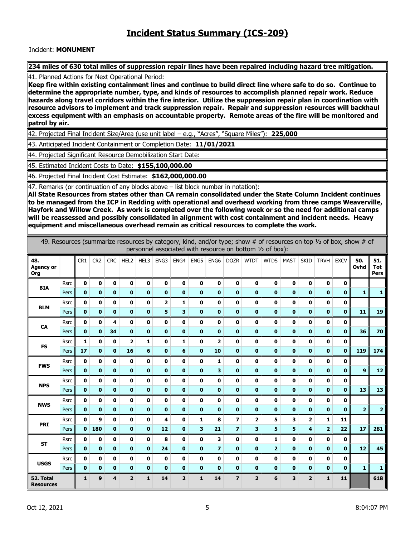#### Incident: **MONUMENT**

234 miles of 630 total miles of suppression repair lines have been repaired including hazard tree mitigation.

41. Planned Actions for Next Operational Period:

**Keep fire within existing containment lines and continue to build direct line where safe to do so. Continue to determine the appropriate number, type, and kinds of resources to accomplish planned repair work. Reduce hazards along travel corridors within the fire interior. Utilize the suppression repair plan in coordination with resource advisors to implement and track suppression repair. Repair and suppression resources will backhaul excess equipment with an emphasis on accountable property. Remote areas of the fire will be monitored and patrol by air.**

42. Projected Final Incident Size/Area (use unit label – e.g., "Acres", "Square Miles"): **225,000**

43. Anticipated Incident Containment or Completion Date: **11/01/2021**

44. Projected Significant Resource Demobilization Start Date:

45. Estimated Incident Costs to Date: **\$155,100,000.00**

46. Projected Final Incident Cost Estimate: **\$162,000,000.00**

47. Remarks (or continuation of any blocks above – list block number in notation):

**All State Resources from states other than CA remain consolidated under the State Column Incident continues to be managed from the ICP in Redding with operational and overhead working from three camps Weaverville, Hayfork and Willow Creek. As work is completed over the following week or so the need for additional camps will be reassessed and possibly consolidated in alignment with cost containment and incident needs. Heavy equipment and miscellaneous overhead remain as critical resources to complete the work.**

|                                | 49. Resources (summarize resources by category, kind, and/or type; show # of resources on top 1/2 of box, show # of<br>personnel associated with resource on bottom 1/2 of box): |                 |                 |              |                |              |              |                         |              |                |                         |                |                |              |                         |                |              |                  |                           |
|--------------------------------|----------------------------------------------------------------------------------------------------------------------------------------------------------------------------------|-----------------|-----------------|--------------|----------------|--------------|--------------|-------------------------|--------------|----------------|-------------------------|----------------|----------------|--------------|-------------------------|----------------|--------------|------------------|---------------------------|
| 48.<br><b>Agency or</b><br>Org |                                                                                                                                                                                  | CR <sub>1</sub> | CR <sub>2</sub> | <b>CRC</b>   | HEL2           | HEL3         | ENG3         | ENG4                    | ENG5         | ENG6           | <b>DOZR</b>             | <b>WTDT</b>    | <b>WTDS</b>    | <b>MAST</b>  | <b>SKID</b>             | <b>TRVH</b>    | <b>EXCV</b>  | 50.<br>Ovhd      | 51.<br><b>Tot</b><br>Pers |
| <b>BIA</b>                     | <b>Rsrc</b>                                                                                                                                                                      | $\mathbf 0$     | $\mathbf 0$     | 0            | $\mathbf 0$    | $\mathbf 0$  | $\mathbf 0$  | $\mathbf 0$             | $\mathbf 0$  | $\mathbf 0$    | 0                       | $\mathbf 0$    | $\mathbf 0$    | $\mathbf 0$  | $\mathbf 0$             | $\mathbf 0$    | $\mathbf 0$  |                  |                           |
|                                | Pers                                                                                                                                                                             | $\mathbf{0}$    | $\mathbf{0}$    | $\mathbf{0}$ | $\mathbf 0$    | $\mathbf{0}$ | $\mathbf 0$  | $\mathbf{0}$            | $\mathbf{0}$ | $\mathbf 0$    | $\mathbf{0}$            | $\mathbf{0}$   | $\mathbf 0$    | $\mathbf 0$  | $\bf{0}$                | $\mathbf 0$    | $\mathbf 0$  | $\mathbf{1}$     | 1                         |
| <b>BLM</b>                     | <b>Rsrc</b>                                                                                                                                                                      | $\mathbf 0$     | $\mathbf{0}$    | 0            | $\mathbf 0$    | $\mathbf{0}$ | 2            | $\mathbf{1}$            | 0            | $\mathbf 0$    | O                       | O              | $\mathbf{0}$   | O            | $\mathbf 0$             | $\mathbf 0$    | $\mathbf 0$  |                  |                           |
|                                | Pers                                                                                                                                                                             | $\mathbf{0}$    | $\mathbf{0}$    | $\mathbf{0}$ | $\mathbf 0$    | $\mathbf{0}$ | 5            | 3                       | $\mathbf 0$  | $\mathbf 0$    | $\mathbf{0}$            | $\mathbf{0}$   | $\mathbf 0$    | $\mathbf 0$  | $\mathbf{0}$            | $\mathbf 0$    | $\mathbf{0}$ | 11               | 19                        |
| CA                             | <b>Rsrc</b>                                                                                                                                                                      | $\mathbf 0$     | 0               | 4            | $\mathbf 0$    | $\mathbf 0$  | $\mathbf 0$  | $\mathbf 0$             | 0            | $\mathbf 0$    | 0                       | 0              | $\mathbf 0$    | $\mathbf 0$  | $\mathbf 0$             | $\pmb{0}$      | $\pmb{0}$    |                  |                           |
|                                | Pers                                                                                                                                                                             | $\mathbf 0$     | $\mathbf{0}$    | 34           | $\mathbf 0$    | $\mathbf 0$  | $\mathbf 0$  | $\bf{0}$                | $\mathbf 0$  | $\mathbf 0$    | $\mathbf 0$             | $\mathbf 0$    | $\bf{0}$       | $\mathbf 0$  | $\mathbf 0$             | $\mathbf 0$    | $\mathbf 0$  | 36               | 70                        |
| <b>FS</b>                      | <b>Rsrc</b>                                                                                                                                                                      | 1               | $\mathbf{0}$    | 0            | $\overline{2}$ | 1            | $\mathbf 0$  | 1                       | 0            | 2              | O                       | O              | 0              | 0            | $\mathbf 0$             | $\bf{0}$       | $\mathbf 0$  |                  |                           |
|                                | Pers                                                                                                                                                                             | 17              | $\mathbf{0}$    | $\mathbf 0$  | 16             | 6            | $\mathbf{0}$ | 6                       | $\mathbf{0}$ | 10             | $\mathbf{0}$            | $\mathbf{0}$   | $\mathbf{0}$   | $\mathbf{0}$ | $\mathbf{0}$            | $\mathbf 0$    | $\mathbf{0}$ | 119              | 174                       |
| <b>FWS</b>                     | <b>Rsrc</b>                                                                                                                                                                      | $\mathbf 0$     | $\mathbf{0}$    | 0            | $\mathbf 0$    | O            | $\mathbf 0$  | 0                       | 0            | 1              | 0                       | O              | $\mathbf{0}$   | 0            | $\mathbf 0$             | $\mathbf 0$    | $\mathbf 0$  |                  |                           |
|                                | Pers                                                                                                                                                                             | $\mathbf 0$     | $\mathbf{0}$    | $\mathbf{0}$ | $\mathbf{0}$   | $\mathbf{0}$ | $\mathbf 0$  | $\mathbf 0$             | $\mathbf 0$  | 3              | $\mathbf{0}$            | $\mathbf{0}$   | $\mathbf{0}$   | $\mathbf 0$  | $\mathbf{0}$            | $\mathbf 0$    | $\mathbf 0$  | $\boldsymbol{9}$ | 12                        |
| <b>NPS</b>                     | <b>Rsrc</b>                                                                                                                                                                      | 0               | $\mathbf{0}$    | 0            | $\mathbf 0$    | O            | 0            | $\mathbf 0$             | 0            | $\bf{0}$       | 0                       | 0              | $\mathbf 0$    | 0            | $\mathbf 0$             | 0              | $\mathbf 0$  |                  |                           |
|                                | Pers                                                                                                                                                                             | $\mathbf{0}$    | $\mathbf{0}$    | $\mathbf{0}$ | $\mathbf 0$    | $\mathbf{0}$ | $\mathbf{0}$ | $\mathbf{0}$            | $\mathbf 0$  | $\mathbf 0$    | $\mathbf{0}$            | $\mathbf{0}$   | $\mathbf{0}$   | $\mathbf 0$  | $\mathbf{0}$            | $\mathbf 0$    | $\mathbf{0}$ | 13               | 13                        |
| <b>NWS</b>                     | <b>Rsrc</b>                                                                                                                                                                      | 0               | $\mathbf 0$     | 0            | $\mathbf 0$    | $\mathbf 0$  | $\mathbf 0$  | 0                       | 0            | $\mathbf 0$    | 0                       | 0              | $\mathbf 0$    | $\mathbf 0$  | $\mathbf 0$             | $\pmb{0}$      | $\mathbf 0$  |                  |                           |
|                                | Pers                                                                                                                                                                             | $\mathbf 0$     | $\mathbf{0}$    | $\mathbf 0$  | $\mathbf 0$    | $\mathbf{0}$ | $\mathbf 0$  | $\mathbf 0$             | $\mathbf 0$  | $\mathbf 0$    | $\mathbf{0}$            | $\mathbf{0}$   | $\mathbf{0}$   | $\mathbf 0$  | $\mathbf 0$             | $\mathbf 0$    | $\mathbf 0$  | $\overline{2}$   | $\overline{2}$            |
| PRI                            | <b>Rsrc</b>                                                                                                                                                                      | $\mathbf 0$     | 9               | 0            | $\mathbf 0$    | 0            | 4            | 0                       | $\mathbf{1}$ | 8              | $\overline{\mathbf{z}}$ | $\overline{2}$ | 5              | 3            | 2                       | 1              | 11           |                  |                           |
|                                | Pers                                                                                                                                                                             | $\mathbf{0}$    | 180             | $\mathbf 0$  | $\mathbf 0$    | $\mathbf{0}$ | 12           | $\mathbf 0$             | 3            | 21             | $\overline{z}$          | 3              | 5              | 5            | $\overline{\mathbf{4}}$ | $\overline{2}$ | 22           | 17               | 281                       |
| <b>ST</b>                      | <b>Rsrc</b>                                                                                                                                                                      | $\mathbf 0$     | 0               | 0            | $\mathbf 0$    | 0            | 8            | $\mathbf 0$             | 0            | 3              | 0                       | 0              | 1              | 0            | $\mathbf 0$             | $\pmb{0}$      | $\pmb{0}$    |                  |                           |
|                                | Pers                                                                                                                                                                             | $\mathbf{0}$    | $\mathbf{0}$    | $\mathbf{0}$ | $\mathbf 0$    | $\mathbf{0}$ | 24           | $\mathbf{0}$            | $\mathbf{0}$ | $\overline{z}$ | $\mathbf{0}$            | $\mathbf{0}$   | $\overline{2}$ | $\mathbf 0$  | $\mathbf 0$             | $\mathbf 0$    | $\mathbf{0}$ | 12               | 45                        |
| <b>USGS</b>                    | <b>Rsrc</b>                                                                                                                                                                      | O               | $\mathbf{0}$    | 0            | $\mathbf 0$    | $\mathbf{0}$ | $\mathbf 0$  | $\mathbf 0$             | 0            | $\mathbf 0$    | O                       | O              | 0              | 0            | $\mathbf 0$             | 0              | $\mathbf 0$  |                  |                           |
|                                | Pers                                                                                                                                                                             | $\mathbf 0$     | $\mathbf{0}$    | $\mathbf 0$  | $\mathbf 0$    | $\mathbf{0}$ | $\mathbf{0}$ | $\mathbf 0$             | $\mathbf 0$  | $\mathbf{0}$   | $\mathbf 0$             | $\mathbf{0}$   | $\mathbf 0$    | $\mathbf{0}$ | $\mathbf{0}$            | $\mathbf 0$    | $\mathbf 0$  | $\mathbf{1}$     | $\mathbf{1}$              |
| 52. Total<br><b>Resources</b>  |                                                                                                                                                                                  | $\mathbf{1}$    | 9               | 4            | $\overline{2}$ | $\mathbf{1}$ | 14           | $\overline{\mathbf{2}}$ | $\mathbf{1}$ | 14             | $\overline{z}$          | $\overline{2}$ | 6              | 3            | $\overline{2}$          | $\mathbf{1}$   | 11           |                  | 618                       |